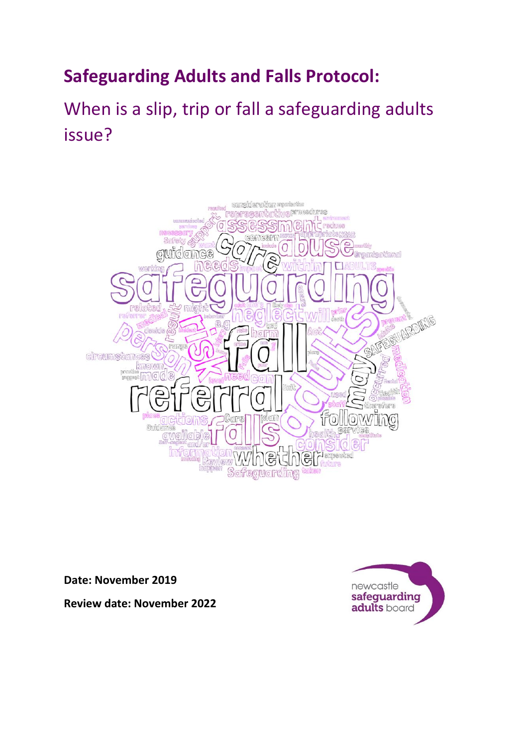## **Safeguarding Adults and Falls Protocol:**

# When is a slip, trip or fall a safeguarding adults issue?



**Date: November 2019**



**Review date: November 2022**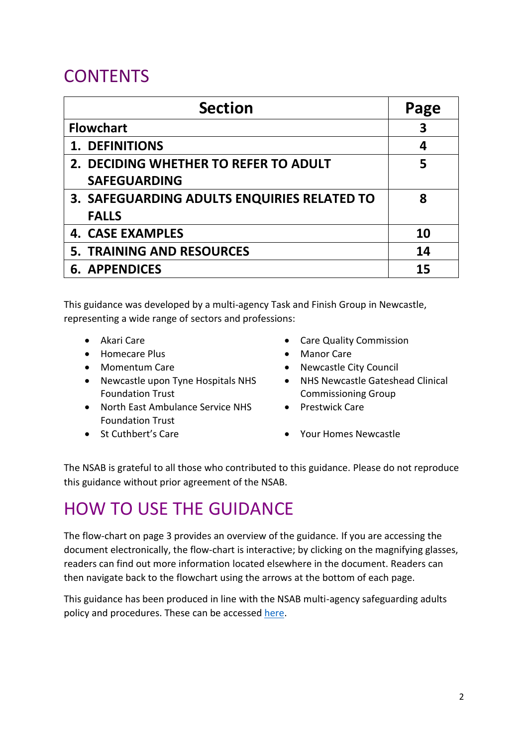## **CONTENTS**

| <b>Section</b>                              | Page |
|---------------------------------------------|------|
| <b>Flowchart</b>                            | 3    |
| <b>1. DEFINITIONS</b>                       | 4    |
| 2. DECIDING WHETHER TO REFER TO ADULT       | 5    |
| <b>SAFEGUARDING</b>                         |      |
| 3. SAFEGUARDING ADULTS ENQUIRIES RELATED TO | 8    |
| <b>FALLS</b>                                |      |
| <b>4. CASE EXAMPLES</b>                     | 10   |
| <b>5. TRAINING AND RESOURCES</b>            | 14   |
| <b>6. APPENDICES</b>                        | 15   |

This guidance was developed by a multi-agency Task and Finish Group in Newcastle, representing a wide range of sectors and professions:

- 
- Homecare Plus  **Manor Care**
- 
- Newcastle upon Tyne Hospitals NHS Foundation Trust
- North East Ambulance Service NHS Foundation Trust
- 
- Akari Care Care Quality Commission
	-
- Momentum Care  **Newcastle City Council** 
	- NHS Newcastle Gateshead Clinical Commissioning Group
	- Prestwick Care
- St Cuthbert's Care **•** Your Homes Newcastle

The NSAB is grateful to all those who contributed to this guidance. Please do not reproduce this guidance without prior agreement of the NSAB.

## HOW TO USE THE GUIDANCE

The flow-chart on page 3 provides an overview of the guidance. If you are accessing the document electronically, the flow-chart is interactive; by clicking on the magnifying glasses, readers can find out more information located elsewhere in the document. Readers can then navigate back to the flowchart using the arrows at the bottom of each page.

This guidance has been produced in line with the NSAB multi-agency safeguarding adults policy and procedures. These can be accessed [here.](https://www.newcastle.gov.uk/services/care-and-support/information-and-support-adults/report-suspected-adult-abuse-and-neglect)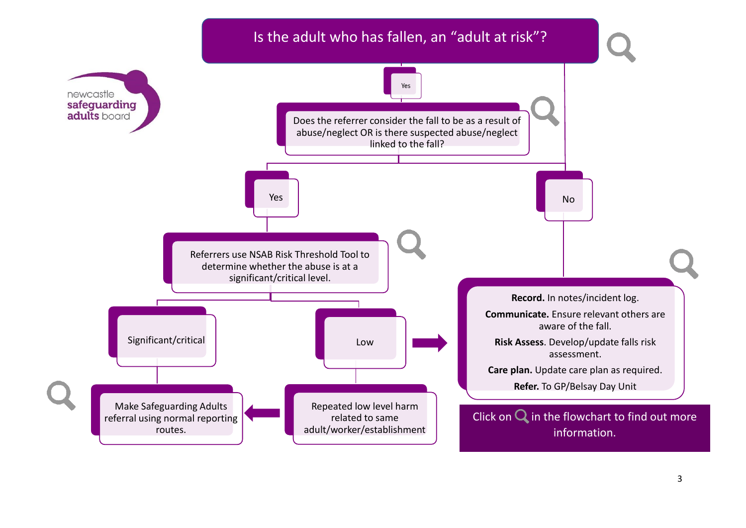<span id="page-2-0"></span>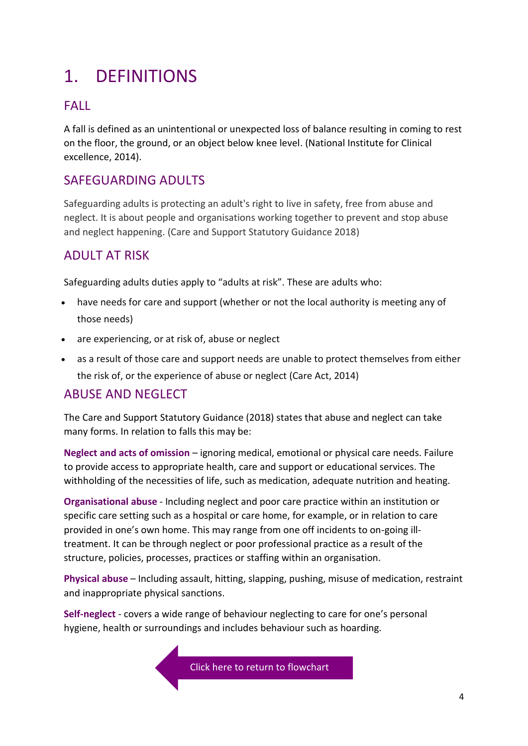# <span id="page-3-0"></span>1. DEFINITIONS

### FALL

A fall is defined as an unintentional or unexpected loss of balance resulting in coming to rest on the floor, the ground, or an object below knee level. (National Institute for Clinical excellence, 2014).

### SAFEGUARDING ADULTS

Safeguarding adults is protecting an adult's right to live in safety, free from abuse and neglect. It is about people and organisations working together to prevent and stop abuse and neglect happening. (Care and Support Statutory Guidance 2018)

### ADULT AT RISK

Safeguarding adults duties apply to "adults at risk". These are adults who:

- have needs for care and support (whether or not the local authority is meeting any of those needs)
- are experiencing, or at risk of, abuse or neglect
- as a result of those care and support needs are unable to protect themselves from either the risk of, or the experience of abuse or neglect (Care Act, 2014)

### ABUSE AND NEGLECT

The Care and Support Statutory Guidance (2018) states that abuse and neglect can take many forms. In relation to falls this may be:

**Neglect and acts of omission** – ignoring medical, emotional or physical care needs. Failure to provide access to appropriate health, care and support or educational services. The withholding of the necessities of life, such as medication, adequate nutrition and heating.

**Organisational abuse** - Including neglect and poor care practice within an institution or specific care setting such as a hospital or care home, for example, or in relation to care provided in one's own home. This may range from one off incidents to on-going illtreatment. It can be through neglect or poor professional practice as a result of the structure, policies, processes, practices or staffing within an organisation.

**Physical abuse** – Including assault, hitting, slapping, pushing, misuse of medication, restraint and inappropriate physical sanctions.

**Self-neglect** - covers a wide range of behaviour neglecting to care for one's personal hygiene, health or surroundings and includes behaviour such as hoarding.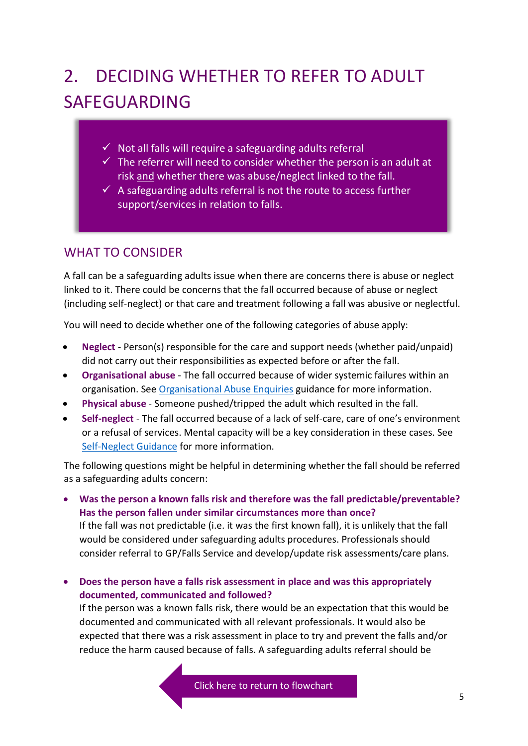# 2. DECIDING WHETHER TO REFER TO ADULT SAFEGUARDING

- $\checkmark$  Not all falls will require a safeguarding adults referral
- $\checkmark$  The referrer will need to consider whether the person is an adult at risk and whether there was abuse/neglect linked to the fall.
- $\checkmark$  A safeguarding adults referral is not the route to access further support/services in relation to falls.

### WHAT TO CONSIDER

A fall can be a safeguarding adults issue when there are concerns there is abuse or neglect linked to it. There could be concerns that the fall occurred because of abuse or neglect (including self-neglect) or that care and treatment following a fall was abusive or neglectful.

You will need to decide whether one of the following categories of abuse apply:

- **Neglect** Person(s) responsible for the care and support needs (whether paid/unpaid) did not carry out their responsibilities as expected before or after the fall.
- **Organisational abuse** The fall occurred because of wider systemic failures within an organisation. See [Organisational Abuse Enquiries](https://www.newcastle.gov.uk/sites/default/files/FINAL%20Organisational%20Abuse%20Enquiries%20March%202018.pdf) guidance for more information.
- **Physical abuse** Someone pushed/tripped the adult which resulted in the fall.
- **Self-neglect** The fall occurred because of a lack of self-care, care of one's environment or a refusal of services. Mental capacity will be a key consideration in these cases. See [Self-Neglect Guidance](https://www.newcastle.gov.uk/sites/default/files/Self-Neglect%20Guidance%20Newcastle%20FINAL.pdf) for more information.

The following questions might be helpful in determining whether the fall should be referred as a safeguarding adults concern:

- **Was the person a known falls risk and therefore was the fall predictable/preventable? Has the person fallen under similar circumstances more than once?**  If the fall was not predictable (i.e. it was the first known fall), it is unlikely that the fall would be considered under safeguarding adults procedures. Professionals should consider referral to GP/Falls Service and develop/update risk assessments/care plans.
- **Does the person have a falls risk assessment in place and was this appropriately documented, communicated and followed?**

If the person was a known falls risk, there would be an expectation that this would be documented and communicated with all relevant professionals. It would also be expected that there was a risk assessment in place to try and prevent the falls and/or reduce the harm caused because of falls. A safeguarding adults referral should be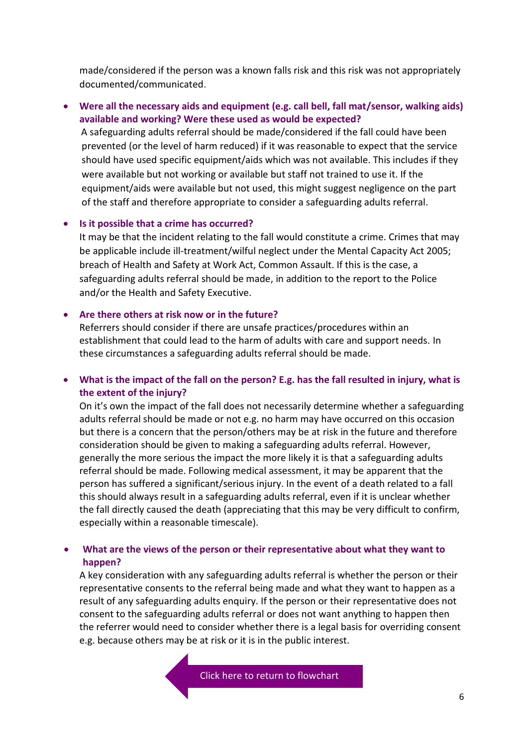made/considered if the person was a known falls risk and this risk was not appropriately documented/communicated.

• **Were all the necessary aids and equipment (e.g. call bell, fall mat/sensor, walking aids) available and working? Were these used as would be expected?** A safeguarding adults referral should be made/considered if the fall could have been prevented (or the level of harm reduced) if it was reasonable to expect that the service should have used specific equipment/aids which was not available. This includes if they were available but not working or available but staff not trained to use it. If the equipment/aids were available but not used, this might suggest negligence on the part of the staff and therefore appropriate to consider a safeguarding adults referral.

#### • **Is it possible that a crime has occurred?**

It may be that the incident relating to the fall would constitute a crime. Crimes that may be applicable include ill-treatment/wilful neglect under the Mental Capacity Act 2005; breach of Health and Safety at Work Act, Common Assault. If this is the case, a safeguarding adults referral should be made, in addition to the report to the Police and/or the Health and Safety Executive.

#### • **Are there others at risk now or in the future?**

Referrers should consider if there are unsafe practices/procedures within an establishment that could lead to the harm of adults with care and support needs. In these circumstances a safeguarding adults referral should be made.

#### • **What is the impact of the fall on the person? E.g. has the fall resulted in injury, what is the extent of the injury?**

On it's own the impact of the fall does not necessarily determine whether a safeguarding adults referral should be made or not e.g. no harm may have occurred on this occasion but there is a concern that the person/others may be at risk in the future and therefore consideration should be given to making a safeguarding adults referral. However, generally the more serious the impact the more likely it is that a safeguarding adults referral should be made. Following medical assessment, it may be apparent that the person has suffered a significant/serious injury. In the event of a death related to a fall this should always result in a safeguarding adults referral, even if it is unclear whether the fall directly caused the death (appreciating that this may be very difficult to confirm, especially within a reasonable timescale).

#### • **What are the views of the person or their representative about what they want to happen?**

A key consideration with any safeguarding adults referral is whether the person or their representative consents to the referral being made and what they want to happen as a result of any safeguarding adults enquiry. If the person or their representative does not consent to the safeguarding adults referral or does not want anything to happen then the referrer would need to consider whether there is a legal basis for overriding consent e.g. because others may be at risk or it is in the public interest.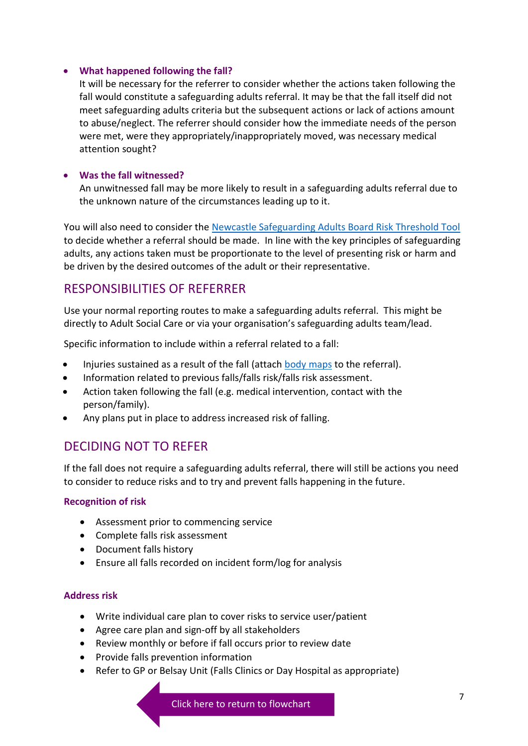#### • **What happened following the fall?**

It will be necessary for the referrer to consider whether the actions taken following the fall would constitute a safeguarding adults referral. It may be that the fall itself did not meet safeguarding adults criteria but the subsequent actions or lack of actions amount to abuse/neglect. The referrer should consider how the immediate needs of the person were met, were they appropriately/inappropriately moved, was necessary medical attention sought?

#### • **Was the fall witnessed?**

An unwitnessed fall may be more likely to result in a safeguarding adults referral due to the unknown nature of the circumstances leading up to it.

You will also need to consider th[e Newcastle Safeguarding Adults Board Risk Threshold Tool](https://www.newcastle.gov.uk/sites/default/files/T1%20nsab_safeguarding_adults_risk_threshold_tool_0%20(1)_0.docx) to decide whether a referral should be made. In line with the key principles of safeguarding adults, any actions taken must be proportionate to the level of presenting risk or harm and be driven by the desired outcomes of the adult or their representative.

### RESPONSIBILITIES OF REFERRER

Use your normal reporting routes to make a safeguarding adults referral. This might be directly to Adult Social Care or via your organisation's safeguarding adults team/lead.

Specific information to include within a referral related to a fall:

- Injuries sustained as a result of the fall (attach [body maps](https://www.newcastle.gov.uk/sites/default/files/B2%20body_maps_0_0.doc) to the referral).
- Information related to previous falls/falls risk/falls risk assessment.
- Action taken following the fall (e.g. medical intervention, contact with the person/family).
- Any plans put in place to address increased risk of falling.

### DECIDING NOT TO REFER

If the fall does not require a safeguarding adults referral, there will still be actions you need to consider to reduce risks and to try and prevent falls happening in the future.

#### **Recognition of risk**

- Assessment prior to commencing service
- Complete falls risk assessment
- Document falls history
- Ensure all falls recorded on incident form/log for analysis

#### **Address risk**

- Write individual care plan to cover risks to service user/patient
- Agree care plan and sign-off by all stakeholders
- Review monthly or before if fall occurs prior to review date
- Provide falls prevention information
- Refer to GP or Belsay Unit (Falls Clinics or Day Hospital as appropriate)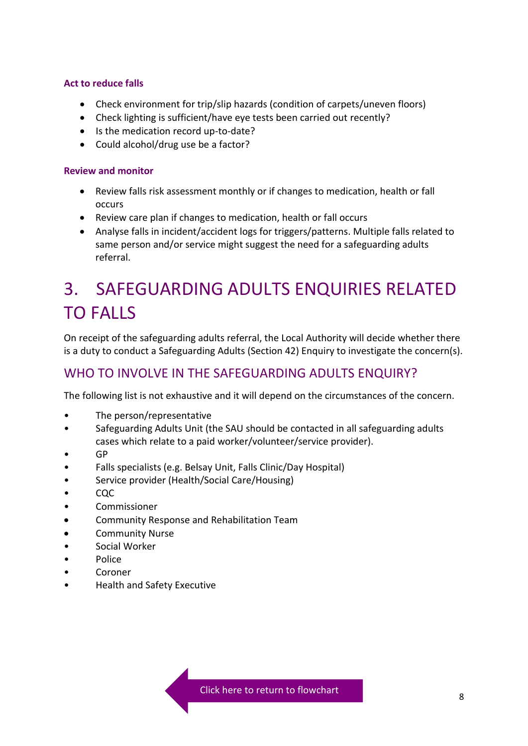#### **Act to reduce falls**

- Check environment for trip/slip hazards (condition of carpets/uneven floors)
- Check lighting is sufficient/have eye tests been carried out recently?
- Is the medication record up-to-date?
- Could alcohol/drug use be a factor?

#### **Review and monitor**

- Review falls risk assessment monthly or if changes to medication, health or fall occurs
- Review care plan if changes to medication, health or fall occurs
- Analyse falls in incident/accident logs for triggers/patterns. Multiple falls related to same person and/or service might suggest the need for a safeguarding adults referral.

## 3. SAFEGUARDING ADULTS ENQUIRIES RELATED TO FALLS

On receipt of the safeguarding adults referral, the Local Authority will decide whether there is a duty to conduct a Safeguarding Adults (Section 42) Enquiry to investigate the concern(s).

### WHO TO INVOLVE IN THE SAFEGUARDING ADULTS ENQUIRY?

The following list is not exhaustive and it will depend on the circumstances of the concern.

- The person/representative
- Safeguarding Adults Unit (the SAU should be contacted in all safeguarding adults cases which relate to a paid worker/volunteer/service provider).
- GP
- Falls specialists (e.g. Belsay Unit, Falls Clinic/Day Hospital)
- Service provider (Health/Social Care/Housing)
- CQC
- Commissioner
- Community Response and Rehabilitation Team
- Community Nurse
- Social Worker
- Police
- Coroner
- Health and Safety Executive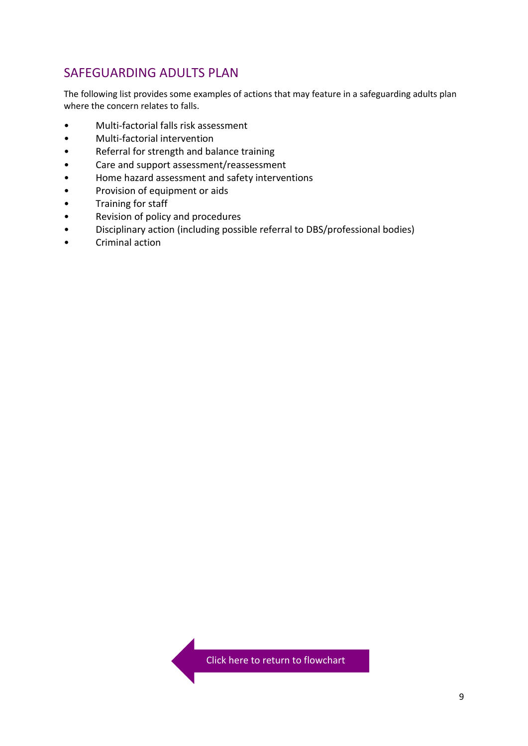### SAFEGUARDING ADULTS PLAN

The following list provides some examples of actions that may feature in a safeguarding adults plan where the concern relates to falls.

- Multi-factorial falls risk assessment
- Multi-factorial intervention
- Referral for strength and balance training
- Care and support assessment/reassessment
- Home hazard assessment and safety interventions
- Provision of equipment or aids
- Training for staff
- Revision of policy and procedures
- Disciplinary action (including possible referral to DBS/professional bodies)
- Criminal action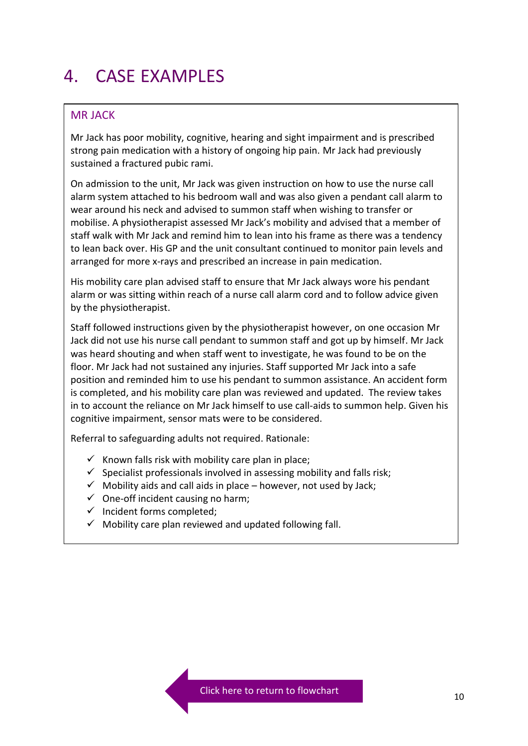## 4. CASE EXAMPLES

#### MR JACK

Mr Jack has poor mobility, cognitive, hearing and sight impairment and is prescribed strong pain medication with a history of ongoing hip pain. Mr Jack had previously sustained a fractured pubic rami.

On admission to the unit, Mr Jack was given instruction on how to use the nurse call alarm system attached to his bedroom wall and was also given a pendant call alarm to wear around his neck and advised to summon staff when wishing to transfer or mobilise. A physiotherapist assessed Mr Jack's mobility and advised that a member of staff walk with Mr Jack and remind him to lean into his frame as there was a tendency to lean back over. His GP and the unit consultant continued to monitor pain levels and arranged for more x-rays and prescribed an increase in pain medication.

His mobility care plan advised staff to ensure that Mr Jack always wore his pendant alarm or was sitting within reach of a nurse call alarm cord and to follow advice given by the physiotherapist.

Staff followed instructions given by the physiotherapist however, on one occasion Mr Jack did not use his nurse call pendant to summon staff and got up by himself. Mr Jack was heard shouting and when staff went to investigate, he was found to be on the floor. Mr Jack had not sustained any injuries. Staff supported Mr Jack into a safe position and reminded him to use his pendant to summon assistance. An accident form is completed, and his mobility care plan was reviewed and updated. The review takes in to account the reliance on Mr Jack himself to use call-aids to summon help. Given his cognitive impairment, sensor mats were to be considered.

Referral to safeguarding adults not required. Rationale:

- $\checkmark$  Known falls risk with mobility care plan in place;
- $\checkmark$  Specialist professionals involved in assessing mobility and falls risk;
- $\checkmark$  Mobility aids and call aids in place however, not used by Jack;
- $\checkmark$  One-off incident causing no harm;
- ✓ Incident forms completed;
- $\checkmark$  Mobility care plan reviewed and updated following fall.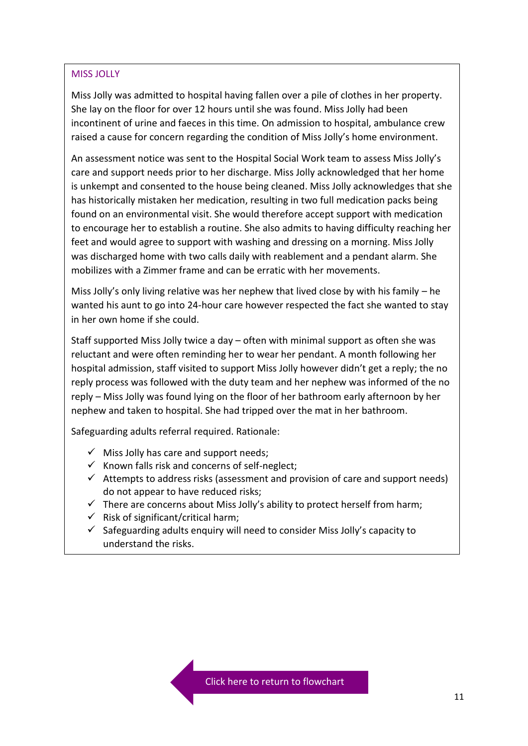#### MISS JOLLY

Miss Jolly was admitted to hospital having fallen over a pile of clothes in her property. She lay on the floor for over 12 hours until she was found. Miss Jolly had been incontinent of urine and faeces in this time. On admission to hospital, ambulance crew raised a cause for concern regarding the condition of Miss Jolly's home environment.

An assessment notice was sent to the Hospital Social Work team to assess Miss Jolly's care and support needs prior to her discharge. Miss Jolly acknowledged that her home is unkempt and consented to the house being cleaned. Miss Jolly acknowledges that she has historically mistaken her medication, resulting in two full medication packs being found on an environmental visit. She would therefore accept support with medication to encourage her to establish a routine. She also admits to having difficulty reaching her feet and would agree to support with washing and dressing on a morning. Miss Jolly was discharged home with two calls daily with reablement and a pendant alarm. She mobilizes with a Zimmer frame and can be erratic with her movements.

Miss Jolly's only living relative was her nephew that lived close by with his family – he wanted his aunt to go into 24-hour care however respected the fact she wanted to stay in her own home if she could.

Staff supported Miss Jolly twice a day – often with minimal support as often she was reluctant and were often reminding her to wear her pendant. A month following her hospital admission, staff visited to support Miss Jolly however didn't get a reply; the no reply process was followed with the duty team and her nephew was informed of the no reply – Miss Jolly was found lying on the floor of her bathroom early afternoon by her nephew and taken to hospital. She had tripped over the mat in her bathroom.

Safeguarding adults referral required. Rationale:

- $\checkmark$  Miss Jolly has care and support needs;
- $\checkmark$  Known falls risk and concerns of self-neglect;
- $\checkmark$  Attempts to address risks (assessment and provision of care and support needs) do not appear to have reduced risks;
- $\checkmark$  There are concerns about Miss Jolly's ability to protect herself from harm;
- $\checkmark$  Risk of significant/critical harm;
- $\checkmark$  Safeguarding adults enquiry will need to consider Miss Jolly's capacity to understand the risks.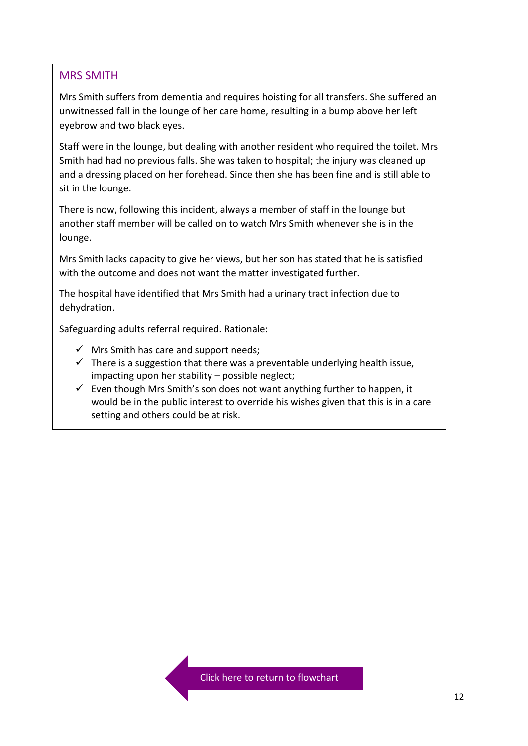#### MRS SMITH

Mrs Smith suffers from dementia and requires hoisting for all transfers. She suffered an unwitnessed fall in the lounge of her care home, resulting in a bump above her left eyebrow and two black eyes.

Staff were in the lounge, but dealing with another resident who required the toilet. Mrs Smith had had no previous falls. She was taken to hospital; the injury was cleaned up and a dressing placed on her forehead. Since then she has been fine and is still able to sit in the lounge.

There is now, following this incident, always a member of staff in the lounge but another staff member will be called on to watch Mrs Smith whenever she is in the lounge.

Mrs Smith lacks capacity to give her views, but her son has stated that he is satisfied with the outcome and does not want the matter investigated further.

The hospital have identified that Mrs Smith had a urinary tract infection due to dehydration.

Safeguarding adults referral required. Rationale:

- $\checkmark$  Mrs Smith has care and support needs;
- $\checkmark$  There is a suggestion that there was a preventable underlying health issue, impacting upon her stability – possible neglect;
- $\checkmark$  Even though Mrs Smith's son does not want anything further to happen, it would be in the public interest to override his wishes given that this is in a care setting and others could be at risk.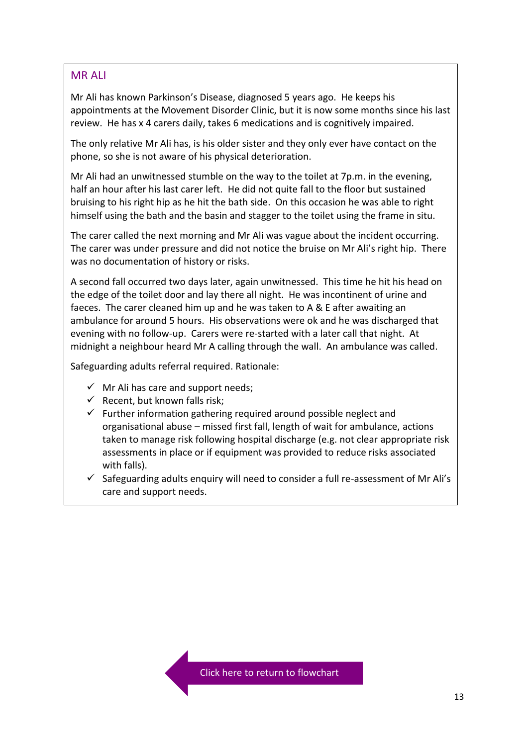#### MR ALI

Mr Ali has known Parkinson's Disease, diagnosed 5 years ago. He keeps his appointments at the Movement Disorder Clinic, but it is now some months since his last review. He has x 4 carers daily, takes 6 medications and is cognitively impaired.

The only relative Mr Ali has, is his older sister and they only ever have contact on the phone, so she is not aware of his physical deterioration.

Mr Ali had an unwitnessed stumble on the way to the toilet at 7p.m. in the evening, half an hour after his last carer left. He did not quite fall to the floor but sustained bruising to his right hip as he hit the bath side. On this occasion he was able to right himself using the bath and the basin and stagger to the toilet using the frame in situ.

The carer called the next morning and Mr Ali was vague about the incident occurring. The carer was under pressure and did not notice the bruise on Mr Ali's right hip. There was no documentation of history or risks.

A second fall occurred two days later, again unwitnessed. This time he hit his head on the edge of the toilet door and lay there all night. He was incontinent of urine and faeces. The carer cleaned him up and he was taken to A & E after awaiting an ambulance for around 5 hours. His observations were ok and he was discharged that evening with no follow-up. Carers were re-started with a later call that night. At midnight a neighbour heard Mr A calling through the wall. An ambulance was called.

Safeguarding adults referral required. Rationale:

- $\checkmark$  Mr Ali has care and support needs;
- $\checkmark$  Recent, but known falls risk;
- $\checkmark$  Further information gathering required around possible neglect and organisational abuse – missed first fall, length of wait for ambulance, actions taken to manage risk following hospital discharge (e.g. not clear appropriate risk assessments in place or if equipment was provided to reduce risks associated with falls).
- $\checkmark$  Safeguarding adults enquiry will need to consider a full re-assessment of Mr Ali's care and support needs.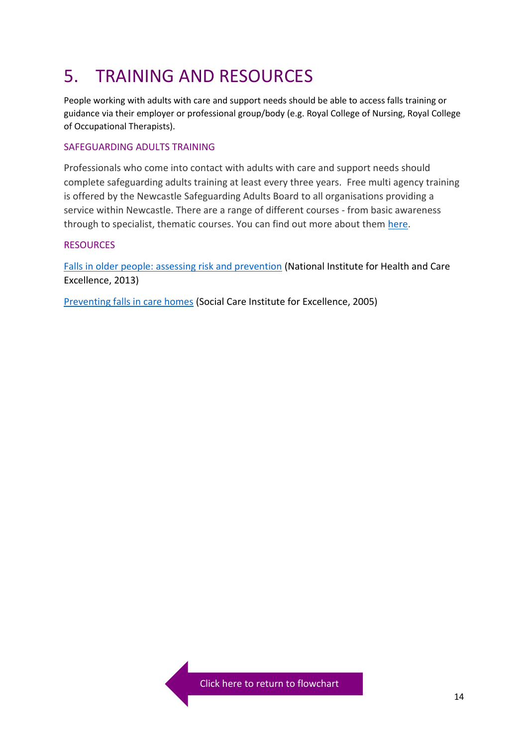## 5. TRAINING AND RESOURCES

People working with adults with care and support needs should be able to access falls training or guidance via their employer or professional group/body (e.g. Royal College of Nursing, Royal College of Occupational Therapists).

#### SAFEGUARDING ADULTS TRAINING

Professionals who come into contact with adults with care and support needs should complete safeguarding adults training at least every three years. Free multi agency training is offered by the Newcastle Safeguarding Adults Board to all organisations providing a service within Newcastle. There are a range of different courses - from basic awareness through to specialist, thematic courses. You can find out more about them [here.](https://www.newcastle.gov.uk/services/care-and-support/adults/report-suspected-adult-abuse-and-neglect/safeguarding-adults)

#### RESOURCES

[Falls in older people: assessing risk and prevention](https://www.nice.org.uk/guidance/cg161) (National Institute for Health and Care Excellence, 2013)

[Preventing falls in care homes](https://www.scie.org.uk/publications/briefings/briefing01/index.asp#acknowledgements) (Social Care Institute for Excellence, 2005)